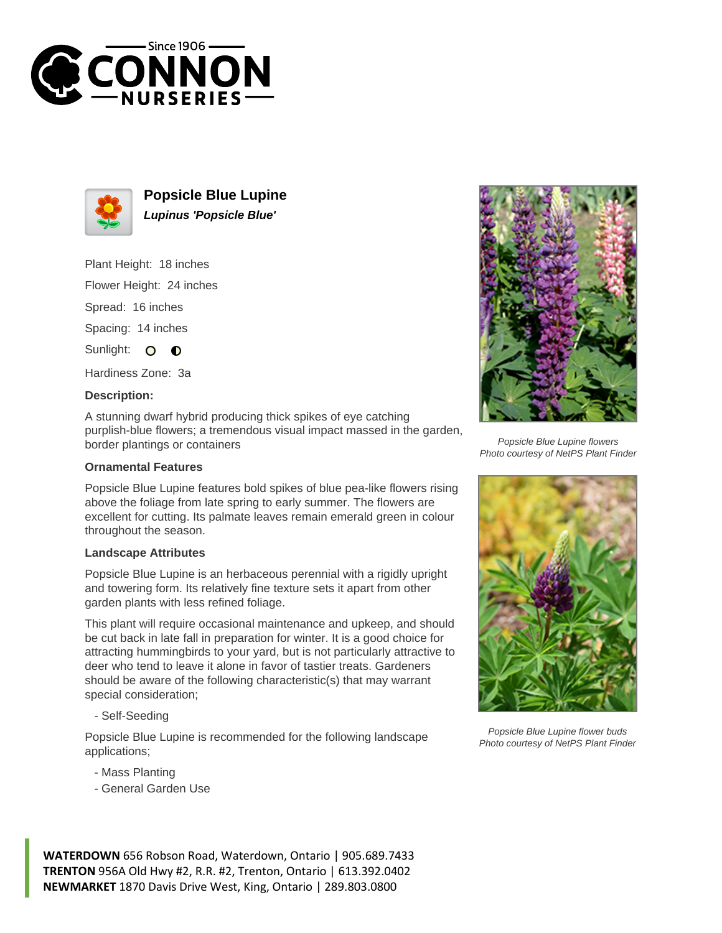



**Popsicle Blue Lupine Lupinus 'Popsicle Blue'**

Plant Height: 18 inches

Flower Height: 24 inches

Spread: 16 inches

Spacing: 14 inches

Sunlight: O  $\bullet$ 

Hardiness Zone: 3a

## **Description:**

A stunning dwarf hybrid producing thick spikes of eye catching purplish-blue flowers; a tremendous visual impact massed in the garden, border plantings or containers

## **Ornamental Features**

Popsicle Blue Lupine features bold spikes of blue pea-like flowers rising above the foliage from late spring to early summer. The flowers are excellent for cutting. Its palmate leaves remain emerald green in colour throughout the season.

## **Landscape Attributes**

Popsicle Blue Lupine is an herbaceous perennial with a rigidly upright and towering form. Its relatively fine texture sets it apart from other garden plants with less refined foliage.

This plant will require occasional maintenance and upkeep, and should be cut back in late fall in preparation for winter. It is a good choice for attracting hummingbirds to your yard, but is not particularly attractive to deer who tend to leave it alone in favor of tastier treats. Gardeners should be aware of the following characteristic(s) that may warrant special consideration;

- Self-Seeding

Popsicle Blue Lupine is recommended for the following landscape applications;

- Mass Planting
- General Garden Use



Popsicle Blue Lupine flowers Photo courtesy of NetPS Plant Finder



Popsicle Blue Lupine flower buds Photo courtesy of NetPS Plant Finder

**WATERDOWN** 656 Robson Road, Waterdown, Ontario | 905.689.7433 **TRENTON** 956A Old Hwy #2, R.R. #2, Trenton, Ontario | 613.392.0402 **NEWMARKET** 1870 Davis Drive West, King, Ontario | 289.803.0800